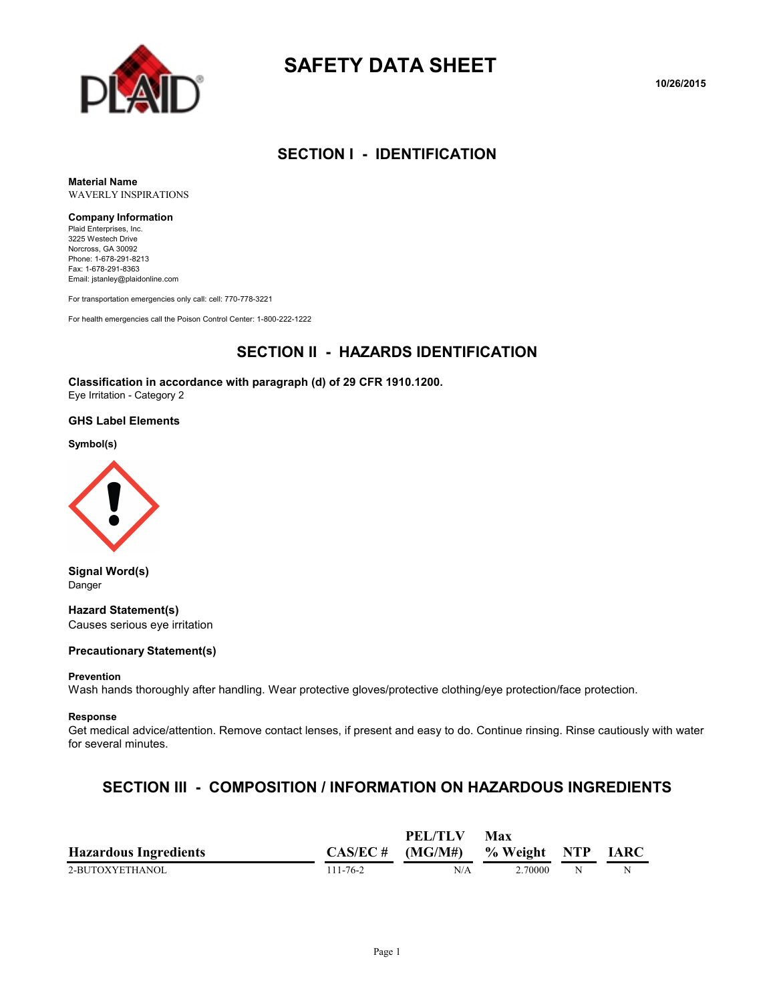

# **SAFETY DATA SHEET**

**10/26/2015**

## **SECTION I - IDENTIFICATION**

**Material Name** WAVERLY INSPIRATIONS

#### **Company Information**

Plaid Enterprises, Inc. 3225 Westech Drive Norcross, GA 30092 Phone: 1-678-291-8213 Fax: 1-678-291-8363 Email: jstanley@plaidonline.com

For transportation emergencies only call: cell: 770-778-3221

For health emergencies call the Poison Control Center: 1-800-222-1222

#### **SECTION II - HAZARDS IDENTIFICATION**

**Classification in accordance with paragraph (d) of 29 CFR 1910.1200.** Eye Irritation - Category 2

#### **GHS Label Elements**

**Symbol(s)**



**Signal Word(s)** Danger

**Hazard Statement(s)** Causes serious eye irritation

#### **Precautionary Statement(s)**

#### **Prevention**

Wash hands thoroughly after handling. Wear protective gloves/protective clothing/eye protection/face protection.

#### **Response**

Get medical advice/attention. Remove contact lenses, if present and easy to do. Continue rinsing. Rinse cautiously with water for several minutes.

#### **SECTION III - COMPOSITION / INFORMATION ON HAZARDOUS INGREDIENTS**

|                              |                | PEL/TLV                         | Max     |   |             |
|------------------------------|----------------|---------------------------------|---------|---|-------------|
| <b>Hazardous Ingredients</b> |                | $CAS/EC # (MG/M#)$ % Weight NTP |         |   | <b>IARC</b> |
| 2-BUTOXYETHANOL              | $111 - 76 - 2$ | N/A                             | 2.70000 | N | N           |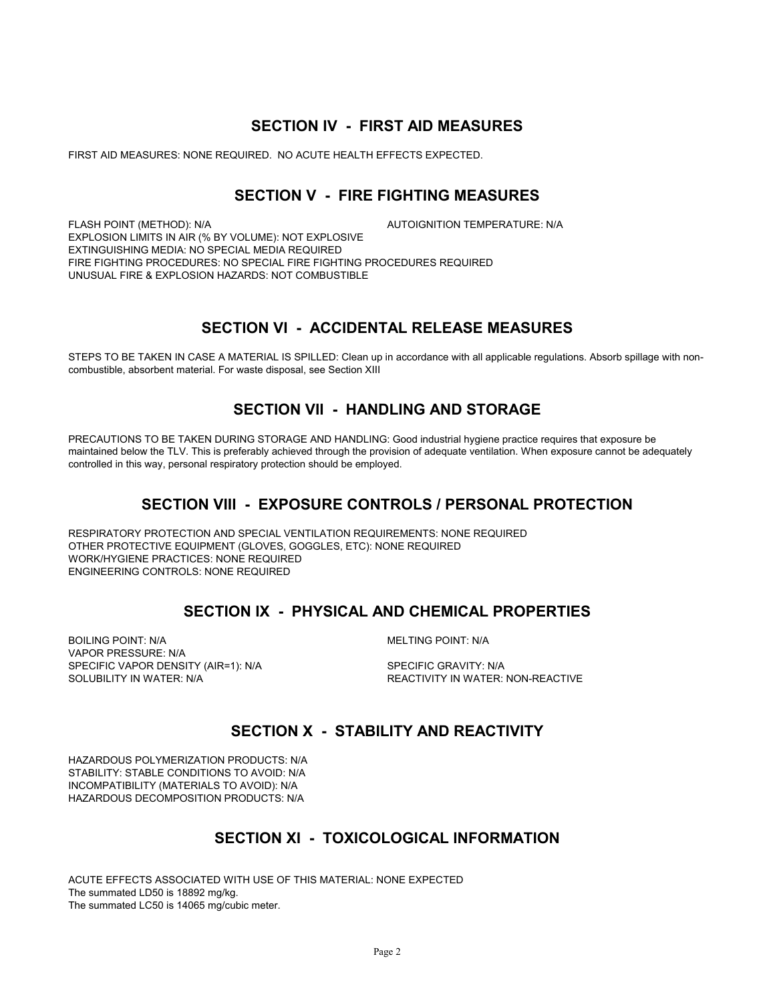#### **SECTION IV - FIRST AID MEASURES**

FIRST AID MEASURES: NONE REQUIRED. NO ACUTE HEALTH EFFECTS EXPECTED.

### **SECTION V - FIRE FIGHTING MEASURES**

FLASH POINT (METHOD): N/A **AUTOIGNITION TEMPERATURE: N/A** EXPLOSION LIMITS IN AIR (% BY VOLUME): NOT EXPLOSIVE EXTINGUISHING MEDIA: NO SPECIAL MEDIA REQUIRED FIRE FIGHTING PROCEDURES: NO SPECIAL FIRE FIGHTING PROCEDURES REQUIRED UNUSUAL FIRE & EXPLOSION HAZARDS: NOT COMBUSTIBLE

### **SECTION VI - ACCIDENTAL RELEASE MEASURES**

STEPS TO BE TAKEN IN CASE A MATERIAL IS SPILLED: Clean up in accordance with all applicable regulations. Absorb spillage with noncombustible, absorbent material. For waste disposal, see Section XIII

## **SECTION VII - HANDLING AND STORAGE**

PRECAUTIONS TO BE TAKEN DURING STORAGE AND HANDLING: Good industrial hygiene practice requires that exposure be maintained below the TLV. This is preferably achieved through the provision of adequate ventilation. When exposure cannot be adequately controlled in this way, personal respiratory protection should be employed.

#### **SECTION VIII - EXPOSURE CONTROLS / PERSONAL PROTECTION**

RESPIRATORY PROTECTION AND SPECIAL VENTILATION REQUIREMENTS: NONE REQUIRED OTHER PROTECTIVE EQUIPMENT (GLOVES, GOGGLES, ETC): NONE REQUIRED WORK/HYGIENE PRACTICES: NONE REQUIRED ENGINEERING CONTROLS: NONE REQUIRED

### **SECTION IX - PHYSICAL AND CHEMICAL PROPERTIES**

BOILING POINT: N/A GOILING POINT: N/A VAPOR PRESSURE: N/A SPECIFIC VAPOR DENSITY (AIR=1): N/A SPECIFIC GRAVITY: N/A

SOLUBILITY IN WATER: N/A  $R$  and the second term of the reactivity in water: non-reactive

### **SECTION X - STABILITY AND REACTIVITY**

HAZARDOUS POLYMERIZATION PRODUCTS: N/A STABILITY: STABLE CONDITIONS TO AVOID: N/A INCOMPATIBILITY (MATERIALS TO AVOID): N/A HAZARDOUS DECOMPOSITION PRODUCTS: N/A

## **SECTION XI - TOXICOLOGICAL INFORMATION**

ACUTE EFFECTS ASSOCIATED WITH USE OF THIS MATERIAL: NONE EXPECTED The summated LD50 is 18892 mg/kg. The summated LC50 is 14065 mg/cubic meter.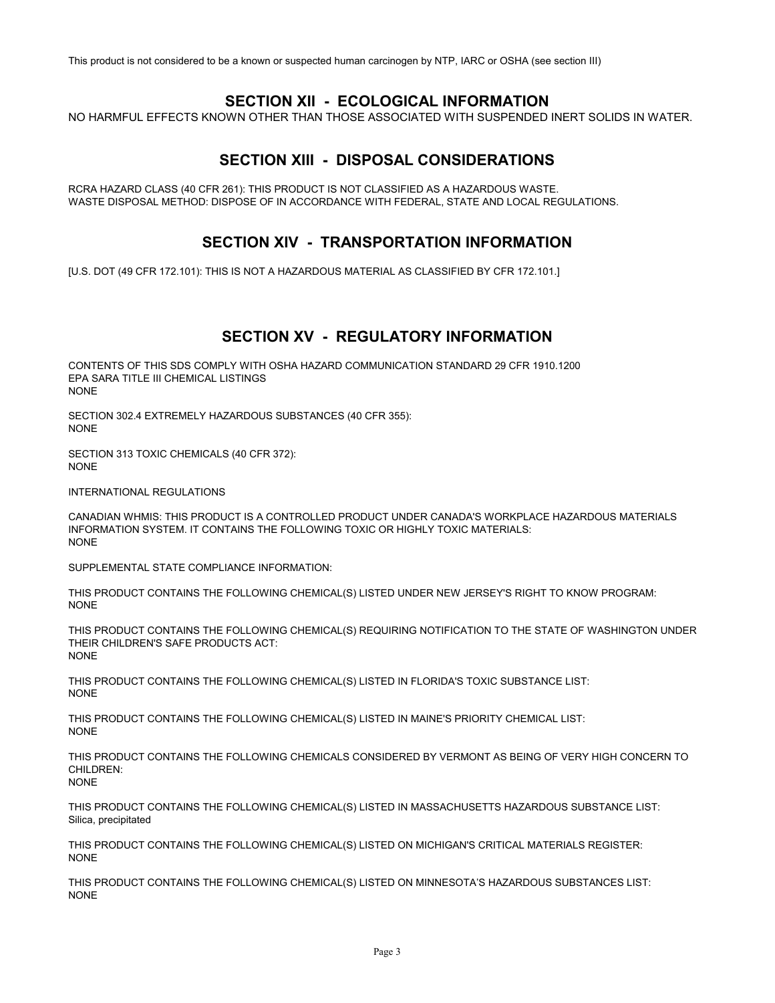This product is not considered to be a known or suspected human carcinogen by NTP, IARC or OSHA (see section III)

#### **SECTION XII - ECOLOGICAL INFORMATION**

NO HARMFUL EFFECTS KNOWN OTHER THAN THOSE ASSOCIATED WITH SUSPENDED INERT SOLIDS IN WATER.

## **SECTION XIII - DISPOSAL CONSIDERATIONS**

RCRA HAZARD CLASS (40 CFR 261): THIS PRODUCT IS NOT CLASSIFIED AS A HAZARDOUS WASTE. WASTE DISPOSAL METHOD: DISPOSE OF IN ACCORDANCE WITH FEDERAL, STATE AND LOCAL REGULATIONS.

#### **SECTION XIV - TRANSPORTATION INFORMATION**

[U.S. DOT (49 CFR 172.101): THIS IS NOT A HAZARDOUS MATERIAL AS CLASSIFIED BY CFR 172.101.]

### **SECTION XV - REGULATORY INFORMATION**

CONTENTS OF THIS SDS COMPLY WITH OSHA HAZARD COMMUNICATION STANDARD 29 CFR 1910.1200 EPA SARA TITLE III CHEMICAL LISTINGS NONE

SECTION 302.4 EXTREMELY HAZARDOUS SUBSTANCES (40 CFR 355): NONE

SECTION 313 TOXIC CHEMICALS (40 CFR 372): NONE

INTERNATIONAL REGULATIONS

CANADIAN WHMIS: THIS PRODUCT IS A CONTROLLED PRODUCT UNDER CANADA'S WORKPLACE HAZARDOUS MATERIALS INFORMATION SYSTEM. IT CONTAINS THE FOLLOWING TOXIC OR HIGHLY TOXIC MATERIALS: NONE

SUPPLEMENTAL STATE COMPLIANCE INFORMATION:

THIS PRODUCT CONTAINS THE FOLLOWING CHEMICAL(S) LISTED UNDER NEW JERSEY'S RIGHT TO KNOW PROGRAM: **NONE** 

THIS PRODUCT CONTAINS THE FOLLOWING CHEMICAL(S) REQUIRING NOTIFICATION TO THE STATE OF WASHINGTON UNDER THEIR CHILDREN'S SAFE PRODUCTS ACT: NONE

THIS PRODUCT CONTAINS THE FOLLOWING CHEMICAL(S) LISTED IN FLORIDA'S TOXIC SUBSTANCE LIST: NONE

THIS PRODUCT CONTAINS THE FOLLOWING CHEMICAL(S) LISTED IN MAINE'S PRIORITY CHEMICAL LIST: NONE

THIS PRODUCT CONTAINS THE FOLLOWING CHEMICALS CONSIDERED BY VERMONT AS BEING OF VERY HIGH CONCERN TO CHILDREN:

NONE

THIS PRODUCT CONTAINS THE FOLLOWING CHEMICAL(S) LISTED IN MASSACHUSETTS HAZARDOUS SUBSTANCE LIST: Silica, precipitated

THIS PRODUCT CONTAINS THE FOLLOWING CHEMICAL(S) LISTED ON MICHIGAN'S CRITICAL MATERIALS REGISTER: NONE

THIS PRODUCT CONTAINS THE FOLLOWING CHEMICAL(S) LISTED ON MINNESOTA'S HAZARDOUS SUBSTANCES LIST: NONE